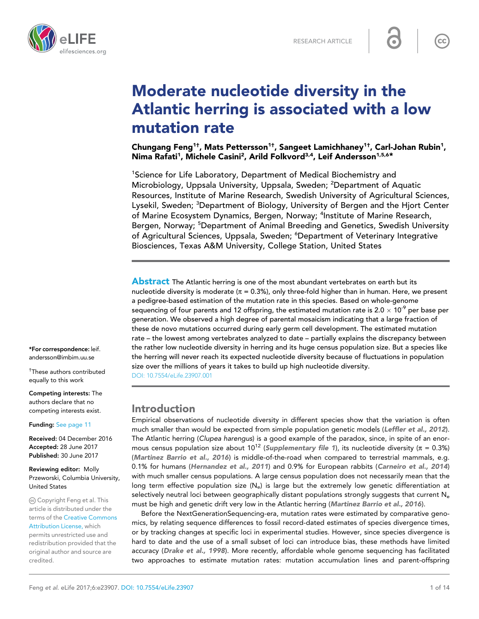

# Moderate nucleotide diversity in the Atlantic herring is associated with a low mutation rate

Chungang Feng $^{\rm 1+}$ , Mats Pettersson $^{\rm 1+}$ , Sangeet Lamichhaney $^{\rm 1+}$ , Carl-Johan Rubin $^{\rm 1}$ , Nima Rafati<sup>1</sup>, Michele Casini<sup>2</sup>, Arild Folkvord<sup>3,4</sup>, Leif Andersson<sup>1,5,6\*</sup>

<sup>1</sup>Science for Life Laboratory, Department of Medical Biochemistry and Microbiology, Uppsala University, Uppsala, Sweden; <sup>2</sup>Department of Aquatic Resources, Institute of Marine Research, Swedish University of Agricultural Sciences, Lysekil, Sweden; <sup>3</sup>Department of Biology, University of Bergen and the Hjort Center of Marine Ecosystem Dynamics, Bergen, Norway; <sup>4</sup>Institute of Marine Research, Bergen, Norway; <sup>5</sup>Department of Animal Breeding and Genetics, Swedish University of Agricultural Sciences, Uppsala, Sweden; <sup>6</sup>Department of Veterinary Integrative Biosciences, Texas A&M University, College Station, United States

**Abstract** The Atlantic herring is one of the most abundant vertebrates on earth but its nucleotide diversity is moderate ( $\pi = 0.3\%$ ), only three-fold higher than in human. Here, we present a pedigree-based estimation of the mutation rate in this species. Based on whole-genome sequencing of four parents and 12 offspring, the estimated mutation rate is 2.0  $\times$  10<sup>-9</sup> per base per generation. We observed a high degree of parental mosaicism indicating that a large fraction of these de novo mutations occurred during early germ cell development. The estimated mutation rate – the lowest among vertebrates analyzed to date – partially explains the discrepancy between the rather low nucleotide diversity in herring and its huge census population size. But a species like the herring will never reach its expected nucleotide diversity because of fluctuations in population size over the millions of years it takes to build up high nucleotide diversity. [DOI: 10.7554/eLife.23907.001](http://dx.doi.org/10.7554/eLife.23907.001)

# Introduction

Empirical observations of nucleotide diversity in different species show that the variation is often much smaller than would be expected from simple population genetic models ([Leffler et al., 2012](#page-12-0)). The Atlantic herring (Clupea harengus) is a good example of the paradox, since, in spite of an enor-mous census population size about 10<sup>12</sup> ([Supplementary file 1](#page-10-0)), its nucleotide diversity ( $\pi = 0.3\%$ ) ([Martinez Barrio et al., 2016](#page-12-0)) is middle-of-the-road when compared to terrestrial mammals, e.g. 0.1% for humans ([Hernandez et al., 2011](#page-11-0)) and 0.9% for European rabbits ([Carneiro et al., 2014](#page-11-0)) with much smaller census populations. A large census population does not necessarily mean that the long term effective population size  $(N_e)$  is large but the extremely low genetic differentiation at selectively neutral loci between geographically distant populations strongly suggests that current  $N_e$ must be high and genetic drift very low in the Atlantic herring ([Martinez Barrio et al., 2016](#page-12-0)).

Before the NextGenerationSequencing-era, mutation rates were estimated by comparative genomics, by relating sequence differences to fossil record-dated estimates of species divergence times, or by tracking changes at specific loci in experimental studies. However, since species divergence is hard to date and the use of a small subset of loci can introduce bias, these methods have limited accuracy ([Drake et al., 1998](#page-11-0)). More recently, affordable whole genome sequencing has facilitated two approaches to estimate mutation rates: mutation accumulation lines and parent-offspring

\*For correspondence: leif. andersson@imbim.uu.se

† These authors contributed equally to this work

Competing interests: The authors declare that no competing interests exist.

Funding: [See page 11](#page-10-0)

Received: 04 December 2016 Accepted: 28 June 2017 Published: 30 June 2017

Reviewing editor: Molly Przeworski, Columbia University, United States

Copyright Feng et al. This article is distributed under the terms of the [Creative Commons](http://creativecommons.org/licenses/by/4.0/) [Attribution License,](http://creativecommons.org/licenses/by/4.0/) which permits unrestricted use and redistribution provided that the original author and source are

credited.

 $cc$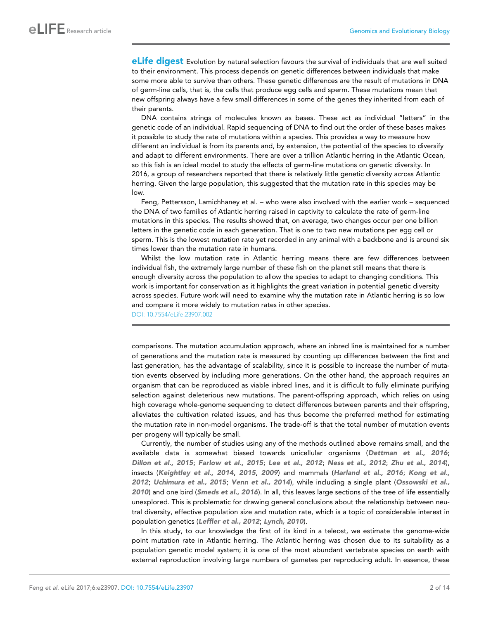**eLife digest** Evolution by natural selection favours the survival of individuals that are well suited to their environment. This process depends on genetic differences between individuals that make some more able to survive than others. These genetic differences are the result of mutations in DNA of germ-line cells, that is, the cells that produce egg cells and sperm. These mutations mean that new offspring always have a few small differences in some of the genes they inherited from each of their parents.

DNA contains strings of molecules known as bases. These act as individual "letters" in the genetic code of an individual. Rapid sequencing of DNA to find out the order of these bases makes it possible to study the rate of mutations within a species. This provides a way to measure how different an individual is from its parents and, by extension, the potential of the species to diversify and adapt to different environments. There are over a trillion Atlantic herring in the Atlantic Ocean, so this fish is an ideal model to study the effects of germ-line mutations on genetic diversity. In 2016, a group of researchers reported that there is relatively little genetic diversity across Atlantic herring. Given the large population, this suggested that the mutation rate in this species may be low.

Feng, Pettersson, Lamichhaney et al. – who were also involved with the earlier work – sequenced the DNA of two families of Atlantic herring raised in captivity to calculate the rate of germ-line mutations in this species. The results showed that, on average, two changes occur per one billion letters in the genetic code in each generation. That is one to two new mutations per egg cell or sperm. This is the lowest mutation rate yet recorded in any animal with a backbone and is around six times lower than the mutation rate in humans.

Whilst the low mutation rate in Atlantic herring means there are few differences between individual fish, the extremely large number of these fish on the planet still means that there is enough diversity across the population to allow the species to adapt to changing conditions. This work is important for conservation as it highlights the great variation in potential genetic diversity across species. Future work will need to examine why the mutation rate in Atlantic herring is so low and compare it more widely to mutation rates in other species.

[DOI: 10.7554/eLife.23907.002](http://dx.doi.org/10.7554/eLife.23907.002)

comparisons. The mutation accumulation approach, where an inbred line is maintained for a number of generations and the mutation rate is measured by counting up differences between the first and last generation, has the advantage of scalability, since it is possible to increase the number of mutation events observed by including more generations. On the other hand, the approach requires an organism that can be reproduced as viable inbred lines, and it is difficult to fully eliminate purifying selection against deleterious new mutations. The parent-offspring approach, which relies on using high coverage whole-genome sequencing to detect differences between parents and their offspring, alleviates the cultivation related issues, and has thus become the preferred method for estimating the mutation rate in non-model organisms. The trade-off is that the total number of mutation events per progeny will typically be small.

Currently, the number of studies using any of the methods outlined above remains small, and the available data is somewhat biased towards unicellular organisms ([Dettman et al., 2016](#page-11-0); [Dillon et al., 2015](#page-11-0); [Farlow et al., 2015](#page-11-0); [Lee et al., 2012](#page-12-0); [Ness et al., 2012](#page-12-0); [Zhu et al., 2014](#page-13-0)), insects ([Keightley et al., 2014](#page-12-0), [2015](#page-12-0), [2009](#page-12-0)) and mammals ([Harland et al., 2016](#page-11-0); [Kong et al.,](#page-12-0) [2012](#page-12-0); [Uchimura et al., 2015](#page-13-0); [Venn et al., 2014](#page-13-0)), while including a single plant ([Ossowski et al.,](#page-12-0) [2010](#page-12-0)) and one bird ([Smeds et al., 2016](#page-13-0)). In all, this leaves large sections of the tree of life essentially unexplored. This is problematic for drawing general conclusions about the relationship between neutral diversity, effective population size and mutation rate, which is a topic of considerable interest in population genetics ([Leffler et al., 2012](#page-12-0); [Lynch, 2010](#page-12-0)).

In this study, to our knowledge the first of its kind in a teleost, we estimate the genome-wide point mutation rate in Atlantic herring. The Atlantic herring was chosen due to its suitability as a population genetic model system; it is one of the most abundant vertebrate species on earth with external reproduction involving large numbers of gametes per reproducing adult. In essence, these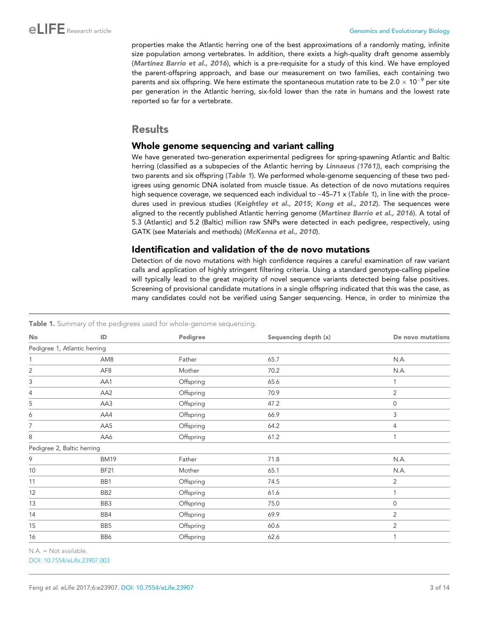<span id="page-2-0"></span>properties make the Atlantic herring one of the best approximations of a randomly mating, infinite size population among vertebrates. In addition, there exists a high-quality draft genome assembly ([Martinez Barrio et al., 2016](#page-12-0)), which is a pre-requisite for a study of this kind. We have employed the parent-offspring approach, and base our measurement on two families, each containing two parents and six offspring. We here estimate the spontaneous mutation rate to be 2.0  $\times$  10<sup>-9</sup> per site per generation in the Atlantic herring, six-fold lower than the rate in humans and the lowest rate reported so far for a vertebrate.

# **Results**

# Whole genome sequencing and variant calling

We have generated two-generation experimental pedigrees for spring-spawning Atlantic and Baltic herring (classified as a subspecies of the Atlantic herring by [Linnaeus \(1761\)](#page-12-0)), each comprising the two parents and six offspring (Table 1). We performed whole-genome sequencing of these two pedigrees using genomic DNA isolated from muscle tissue. As detection of de novo mutations requires high sequence coverage, we sequenced each individual to  $\sim$ 45–71 x (Table 1), in line with the procedures used in previous studies ([Keightley et al., 2015](#page-12-0); [Kong et al., 2012](#page-12-0)). The sequences were aligned to the recently published Atlantic herring genome ([Martinez Barrio et al., 2016](#page-12-0)). A total of 5.3 (Atlantic) and 5.2 (Baltic) million raw SNPs were detected in each pedigree, respectively, using GATK (see Materials and methods) ([McKenna et al., 2010](#page-12-0)).

# Identification and validation of the de novo mutations

Detection of de novo mutations with high confidence requires a careful examination of raw variant calls and application of highly stringent filtering criteria. Using a standard genotype-calling pipeline will typically lead to the great majority of novel sequence variants detected being false positives. Screening of provisional candidate mutations in a single offspring indicated that this was the case, as many candidates could not be verified using Sanger sequencing. Hence, in order to minimize the

| No                         | ID                           | Pedigree  | Sequencing depth (x) | De novo mutations   |
|----------------------------|------------------------------|-----------|----------------------|---------------------|
|                            | Pedigree 1, Atlantic herring |           |                      |                     |
| 1                          | AM <sub>8</sub>              | Father    | 65.7                 | N.A.                |
| 2                          | AF <sub>8</sub>              | Mother    | 70.2                 | N.A.                |
| 3                          | AA1                          | Offspring | 65.6                 | 1                   |
| 4                          | AA2                          | Offspring | 70.9                 | $\overline{2}$      |
| 5                          | AA3                          | Offspring | 47.2                 | $\mathsf{O}\xspace$ |
| 6                          | AA4                          | Offspring | 66.9                 | 3                   |
| 7                          | AA5                          | Offspring | 64.2                 | 4                   |
| 8                          | AA6                          | Offspring | 61.2                 | $\mathbf{1}$        |
| Pedigree 2, Baltic herring |                              |           |                      |                     |
| 9                          | <b>BM19</b>                  | Father    | 71.8                 | N.A.                |
| 10                         | <b>BF21</b>                  | Mother    | 65.1                 | N.A.                |
| 11                         | BB1                          | Offspring | 74.5                 | 2                   |
| 12                         | BB <sub>2</sub>              | Offspring | 61.6                 | 1                   |
| 13                         | BB <sub>3</sub>              | Offspring | 75.0                 | $\mathbf 0$         |
| 14                         | BB4                          | Offspring | 69.9                 | $\overline{2}$      |
| 15                         | BB <sub>5</sub>              | Offspring | 60.6                 | 2                   |
| 16                         | BB6                          | Offspring | 62.6                 | $\mathbf{1}$        |
|                            |                              |           |                      |                     |

Table 1. Summary of the pedigrees used for whole-genome sequencing.

N.A. = Not available.

[DOI: 10.7554/eLife.23907.003](http://dx.doi.org/10.7554/eLife.23907.003Table%201.Summary%20of%20the%20pedigrees%20used%20for%20whole-genome%20sequencing.%2010.7554/eLife.23907.003NoIDPedigreeSequencing%20depth%20(x)De%20novo%20mutationsPedigree%201,%20Atlantic%20herring1AM8Father65.7N.A.2AF8Mother70.2N.A.3AA1Offspring65.614AA2Offspring70.925AA3Offspring47.206AA4Offspring66.937AA5Offspring64.248AA6Offspring61.21Pedigree%202,%20Baltic%20herring9BM19Father71.8N.A.10BF21Mother65.1N.A.11BB1Offspring74.5212BB2Offspring61.6113BB3Offspring75.0014BB4Offspring69.9215BB5Offspring60.6216BB6Offspring62.61N.A.%20=%20Not%20available.)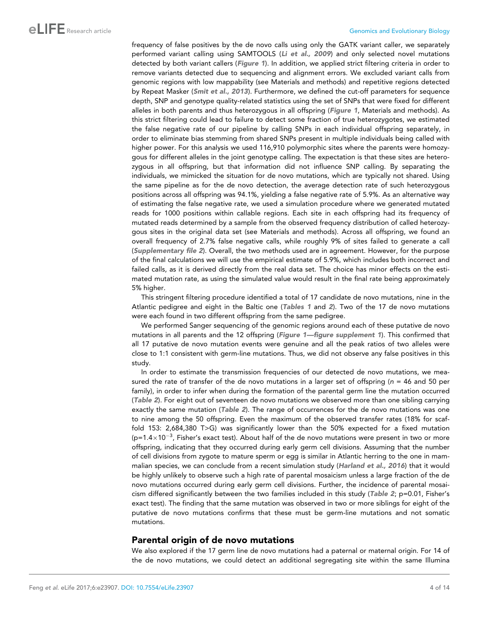frequency of false positives by the de novo calls using only the GATK variant caller, we separately performed variant calling using SAMTOOLS ([Li et al., 2009](#page-12-0)) and only selected novel mutations detected by both variant callers ([Figure 1](#page-4-0)). In addition, we applied strict filtering criteria in order to remove variants detected due to sequencing and alignment errors. We excluded variant calls from genomic regions with low mappability (see Materials and methods) and repetitive regions detected by Repeat Masker ([Smit et al., 2013](#page-13-0)). Furthermore, we defined the cut-off parameters for sequence depth, SNP and genotype quality-related statistics using the set of SNPs that were fixed for different alleles in both parents and thus heterozygous in all offspring ([Figure 1](#page-4-0), Materials and methods). As this strict filtering could lead to failure to detect some fraction of true heterozygotes, we estimated the false negative rate of our pipeline by calling SNPs in each individual offspring separately, in order to eliminate bias stemming from shared SNPs present in multiple individuals being called with higher power. For this analysis we used 116,910 polymorphic sites where the parents were homozygous for different alleles in the joint genotype calling. The expectation is that these sites are heterozygous in all offspring, but that information did not influence SNP calling. By separating the individuals, we mimicked the situation for de novo mutations, which are typically not shared. Using the same pipeline as for the de novo detection, the average detection rate of such heterozygous positions across all offspring was 94.1%, yielding a false negative rate of 5.9%. As an alternative way of estimating the false negative rate, we used a simulation procedure where we generated mutated reads for 1000 positions within callable regions. Each site in each offspring had its frequency of mutated reads determined by a sample from the observed frequency distribution of called heterozygous sites in the original data set (see Materials and methods). Across all offspring, we found an overall frequency of 2.7% false negative calls, while roughly 9% of sites failed to generate a call ([Supplementary file 2](#page-10-0)). Overall, the two methods used are in agreement. However, for the purpose of the final calculations we will use the empirical estimate of 5.9%, which includes both incorrect and failed calls, as it is derived directly from the real data set. The choice has minor effects on the estimated mutation rate, as using the simulated value would result in the final rate being approximately 5% higher.

This stringent filtering procedure identified a total of 17 candidate de novo mutations, nine in the Atlantic pedigree and eight in the Baltic one ([Tables 1](#page-2-0) and [2](#page-5-0)). Two of the 17 de novo mutations were each found in two different offspring from the same pedigree.

We performed Sanger sequencing of the genomic regions around each of these putative de novo mutations in all parents and the 12 offspring ([Figure 1—figure supplement 1](#page-4-0)). This confirmed that all 17 putative de novo mutation events were genuine and all the peak ratios of two alleles were close to 1:1 consistent with germ-line mutations. Thus, we did not observe any false positives in this study.

In order to estimate the transmission frequencies of our detected de novo mutations, we measured the rate of transfer of the de novo mutations in a larger set of offspring ( $n = 46$  and 50 per family), in order to infer when during the formation of the parental germ line the mutation occurred ([Table 2](#page-5-0)). For eight out of seventeen de novo mutations we observed more than one sibling carrying exactly the same mutation ([Table 2](#page-5-0)). The range of occurrences for the de novo mutations was one to nine among the 50 offspring. Even the maximum of the observed transfer rates (18% for scaffold 153: 2,684,380 T>G) was significantly lower than the 50% expected for a fixed mutation (p=1.4 $\times$ 10<sup>-3</sup>, Fisher's exact test). About half of the de novo mutations were present in two or more offspring, indicating that they occurred during early germ cell divisions. Assuming that the number of cell divisions from zygote to mature sperm or egg is similar in Atlantic herring to the one in mam-malian species, we can conclude from a recent simulation study ([Harland et al., 2016](#page-11-0)) that it would be highly unlikely to observe such a high rate of parental mosaicism unless a large fraction of the de novo mutations occurred during early germ cell divisions. Further, the incidence of parental mosaicism differed significantly between the two families included in this study ([Table 2](#page-5-0); p=0.01, Fisher's exact test). The finding that the same mutation was observed in two or more siblings for eight of the putative de novo mutations confirms that these must be germ-line mutations and not somatic mutations.

#### Parental origin of de novo mutations

We also explored if the 17 germ line de novo mutations had a paternal or maternal origin. For 14 of the de novo mutations, we could detect an additional segregating site within the same Illumina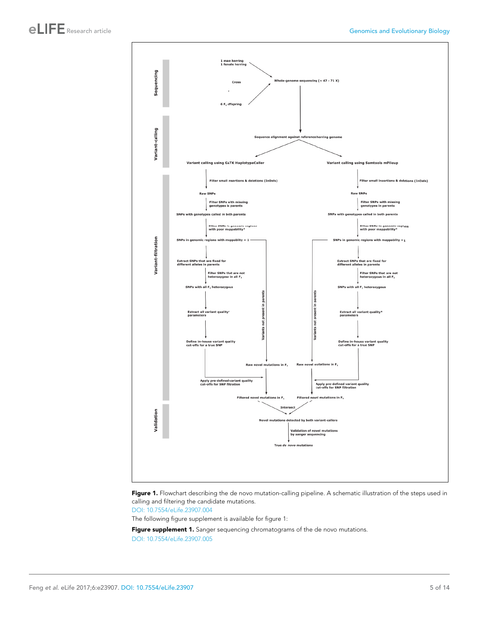<span id="page-4-0"></span>



The following figure supplement is available for figure 1:

Figure supplement 1. Sanger sequencing chromatograms of the de novo mutations. [DOI: 10.7554/eLife.23907.005](http://dx.doi.org/10.7554/eLife.23907.005)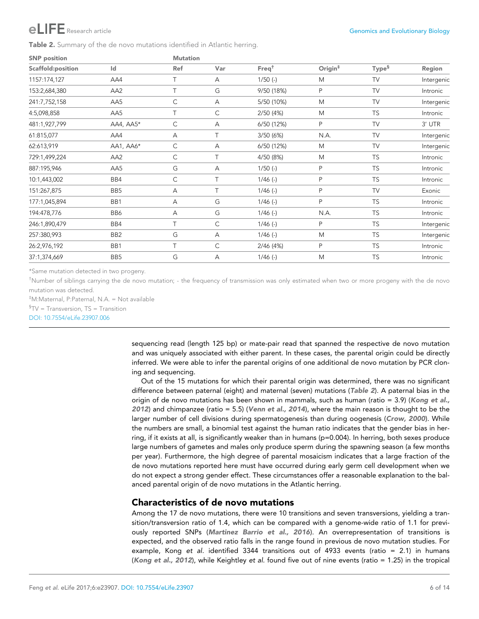# <span id="page-5-0"></span>eLFE Research article Genomics and Evolutionary Biology

Table 2. Summary of the de novo mutations identified in Atlantic herring.

| <b>SNP</b> position      |                 | <b>Mutation</b> |              |                  |               |                   |            |
|--------------------------|-----------------|-----------------|--------------|------------------|---------------|-------------------|------------|
| <b>Scaffold:position</b> | Id              | Ref             | Var          | $Freq^{\dagger}$ | $O$ rigin $‡$ | Type <sup>§</sup> | Region     |
| 1157:174,127             | AA4             | T.              | A            | $1/50$ (-)       | M             | <b>TV</b>         | Intergenic |
| 153:2,684,380            | AA <sub>2</sub> | T.              | G            | 9/50 (18%)       | P             | <b>TV</b>         | Intronic   |
| 241:7,752,158            | AA5             | $\mathsf{C}$    | А            | 5/50 (10%)       | M             | <b>TV</b>         | Intergenic |
| 4:5,098,858              | AA5             | $\top$          | $\mathsf{C}$ | 2/50(4%)         | M             | <b>TS</b>         | Intronic   |
| 481:1,927,799            | $AA4, AAS*$     | $\mathsf{C}$    | A            | 6/50 (12%)       | P             | <b>TV</b>         | 3' UTR     |
| 61:815,077               | AA4             | А               | Τ            | 3/50(6%)         | N.A.          | TV                | Intergenic |
| 62:613,919               | $AA1, AAA*$     | $\mathsf{C}$    | A            | 6/50 (12%)       | M             | <b>TV</b>         | Intergenic |
| 729:1,499,224            | AA <sub>2</sub> | $\mathsf{C}$    | Τ            | 4/50 (8%)        | M             | <b>TS</b>         | Intronic   |
| 887:195,946              | AA5             | G               | A            | $1/50$ (-)       | P             | <b>TS</b>         | Intronic   |
| 10:1,443,002             | BB4             | $\mathsf{C}$    | Τ            | $1/46$ (-)       | P             | <b>TS</b>         | Intronic   |
| 151:267,875              | BB <sub>5</sub> | A               | T            | $1/46$ (-)       | P             | <b>TV</b>         | Exonic     |
| 177:1,045,894            | BB1             | А               | G            | $1/46$ (-)       | P             | <b>TS</b>         | Intronic   |
| 194:478,776              | BB6             | A               | G            | $1/46$ (-)       | N.A.          | <b>TS</b>         | Intronic   |
| 246:1,890,479            | BB4             | T.              | C            | $1/46$ (-)       | P             | <b>TS</b>         | Intergenic |
| 257:380,993              | BB <sub>2</sub> | G               | А            | $1/46$ (-)       | M             | <b>TS</b>         | Intergenic |
| 26:2,976,192             | BB1             | $\top$          | С            | 2/46 (4%)        | P             | <b>TS</b>         | Intronic   |
| 37:1,374,669             | BB <sub>5</sub> | G               | A            | $1/46$ (-)       | M             | <b>TS</b>         | Intronic   |

\*Same mutation detected in two progeny.

†Number of siblings carrying the de novo mutation; - the frequency of transmission was only estimated when two or more progeny with the de novo mutation was detected.

‡M:Maternal, P:Paternal, N.A. = Not available

§ TV = Transversion, TS = Transition

[DOI: 10.7554/eLife.23907.006](http://dx.doi.org/10.7554/eLife.23907.006Table%202.Summary%20of%20the%20de%20novo%20mutations%20identified%20in%20Atlantic%20herring.%2010.7554/eLife.23907.006SNP%20positionMutationScaffold:positionIdRefVarFreq&x2020;Origin&x2021;Type&x00A7;Region1157:174,127AA4TA1/50%20(-)MTVIntergenic153:2,684,380AA2TG9/50%20(18%)PTVIntronic241:7,752,158AA5CA5/50%20(10%)MTVIntergenic4:5,098,858AA5TC2/50%20(4%)MTSIntronic481:1,927,799AA4,%20AA5&x002A;CA6/50%20(12%)PTV3&x0027;%20UTR61:815,077AA4AT3/50%20(6%)N.A.TVIntergenic62:613,919AA1,%20AA6&x002A;CA6/50%20(12%)MTVIntergenic729:1,499,224AA2CT4/50%20(8%)MTSIntronic887:195,946AA5GA1/50%20(-)PTSIntronic10:1,443,002BB4CT1/46%20(-)PTSIntronic151:267,875BB5AT1/46%20(-)PTVExonic177:1,045,894BB1AG1/46%20(-)PTSIntronic194:478,776BB6AG1/46%20(-)N.A.TSIntronic246:1,890,479BB4TC1/46%20(-)PTSIntergenic257:380,993BB2GA1/46%20(-)MTSIntergenic26:2,976,192BB1TC2/46%20(4%)PTSIntronic37:1,374,669BB5GA1/46%20(-)MTSIntronic&x002A;Same%20mutation%20detected%20in%20two%20progeny.&x2020;Number%20of%20siblings%20carrying%20the%20de%20novo%20mutation;%20-%20the%20frequency%20of%20transmission%20was%20only%20estimated%20when%20two%20or%20more%20progeny%20with%20the%20de%20novo%20mutation%20was%20detected.&x2021;M:Maternal,%20P:Paternal,%20N.A.%20=%20Not%20available&x00A7;TV%20=%20Transversion,%20TS%20=%20Transition)

sequencing read (length 125 bp) or mate-pair read that spanned the respective de novo mutation and was uniquely associated with either parent. In these cases, the parental origin could be directly inferred. We were able to infer the parental origins of one additional de novo mutation by PCR cloning and sequencing.

Out of the 15 mutations for which their parental origin was determined, there was no significant difference between paternal (eight) and maternal (seven) mutations (Table 2). A paternal bias in the origin of de novo mutations has been shown in mammals, such as human (ratio = 3.9) ([Kong et al.,](#page-12-0) [2012](#page-12-0)) and chimpanzee (ratio =  $5.5$ ) ([Venn et al., 2014](#page-13-0)), where the main reason is thought to be the larger number of cell divisions during spermatogenesis than during oogenesis ([Crow, 2000](#page-11-0)). While the numbers are small, a binomial test against the human ratio indicates that the gender bias in herring, if it exists at all, is significantly weaker than in humans (p=0.004). In herring, both sexes produce large numbers of gametes and males only produce sperm during the spawning season (a few months per year). Furthermore, the high degree of parental mosaicism indicates that a large fraction of the de novo mutations reported here must have occurred during early germ cell development when we do not expect a strong gender effect. These circumstances offer a reasonable explanation to the balanced parental origin of de novo mutations in the Atlantic herring.

## Characteristics of de novo mutations

Among the 17 de novo mutations, there were 10 transitions and seven transversions, yielding a transition/transversion ratio of 1.4, which can be compared with a genome-wide ratio of 1.1 for previ-ously reported SNPs ([Martinez Barrio et al., 2016](#page-12-0)). An overrepresentation of transitions is expected, and the observed ratio falls in the range found in previous de novo mutation studies. For example, Kong et al. identified 3344 transitions out of 4933 events (ratio  $= 2.1$ ) in humans ([Kong et al., 2012](#page-12-0)), while Keightley et al. found five out of nine events (ratio = 1.25) in the tropical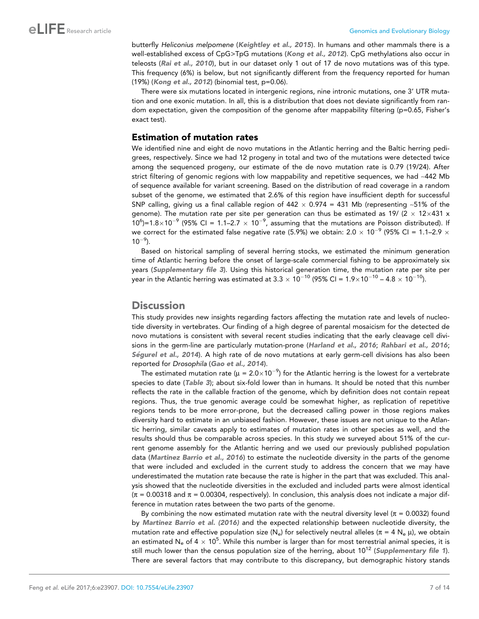butterfly Heliconius melpomene ([Keightley et al., 2015](#page-12-0)). In humans and other mammals there is a well-established excess of CpG>TpG mutations ([Kong et al., 2012](#page-12-0)). CpG methylations also occur in teleosts ([Rai et al., 2010](#page-12-0)), but in our dataset only 1 out of 17 de novo mutations was of this type. This frequency (6%) is below, but not significantly different from the frequency reported for human (19%) ([Kong et al., 2012](#page-12-0)) (binomial test, p=0.06).

There were six mutations located in intergenic regions, nine intronic mutations, one 3' UTR mutation and one exonic mutation. In all, this is a distribution that does not deviate significantly from random expectation, given the composition of the genome after mappability filtering (p=0.65, Fisher's exact test).

#### Estimation of mutation rates

We identified nine and eight de novo mutations in the Atlantic herring and the Baltic herring pedigrees, respectively. Since we had 12 progeny in total and two of the mutations were detected twice among the sequenced progeny, our estimate of the de novo mutation rate is 0.79 (19/24). After strict filtering of genomic regions with low mappability and repetitive sequences, we had ~442 Mb of sequence available for variant screening. Based on the distribution of read coverage in a random subset of the genome, we estimated that 2.6% of this region have insufficient depth for successful SNP calling, giving us a final callable region of  $442 \times 0.974 = 431$  Mb (representing ~51% of the genome). The mutation rate per site per generation can thus be estimated as 19/ (2  $\times$  12 $\times$ 431 x  $10^6$  = 1.8 × 10<sup>-9</sup> (95% CI = 1.1–2.7  $\times$  10<sup>-9</sup>, assuming that the mutations are Poisson distributed). If we correct for the estimated false negative rate (5.9%) we obtain: 2.0  $\times$  10<sup>-9</sup> (95% CI = 1.1-2.9  $\times$  $10^{-9}$ ).

Based on historical sampling of several herring stocks, we estimated the minimum generation time of Atlantic herring before the onset of large-scale commercial fishing to be approximately six years ([Supplementary file 3](#page-10-0)). Using this historical generation time, the mutation rate per site per year in the Atlantic herring was estimated at 3.3  $\times$  10 $^{-10}$  (95% CI = 1.9 $\times$ 10 $^{-10}$  – 4.8  $\times$  10 $^{-10}$ ).

# **Discussion**

This study provides new insights regarding factors affecting the mutation rate and levels of nucleotide diversity in vertebrates. Our finding of a high degree of parental mosaicism for the detected de novo mutations is consistent with several recent studies indicating that the early cleavage cell divisions in the germ-line are particularly mutation-prone ([Harland et al., 2016](#page-11-0); [Rahbari et al., 2016](#page-12-0); Ségurel et al., 2014). A high rate of de novo mutations at early germ-cell divisions has also been reported for Drosophila ([Gao et al., 2014](#page-11-0)).

The estimated mutation rate ( $\mu = 2.0 \times 10^{-9}$ ) for the Atlantic herring is the lowest for a vertebrate species to date ([Table 3](#page-7-0)); about six-fold lower than in humans. It should be noted that this number reflects the rate in the callable fraction of the genome, which by definition does not contain repeat regions. Thus, the true genomic average could be somewhat higher, as replication of repetitive regions tends to be more error-prone, but the decreased calling power in those regions makes diversity hard to estimate in an unbiased fashion. However, these issues are not unique to the Atlantic herring, similar caveats apply to estimates of mutation rates in other species as well, and the results should thus be comparable across species. In this study we surveyed about 51% of the current genome assembly for the Atlantic herring and we used our previously published population data ([Martinez Barrio et al., 2016](#page-12-0)) to estimate the nucleotide diversity in the parts of the genome that were included and excluded in the current study to address the concern that we may have underestimated the mutation rate because the rate is higher in the part that was excluded. This analysis showed that the nucleotide diversities in the excluded and included parts were almost identical  $(\pi = 0.00318$  and  $\pi = 0.00304$ , respectively). In conclusion, this analysis does not indicate a major difference in mutation rates between the two parts of the genome.

By combining the now estimated mutation rate with the neutral diversity level ( $\pi$  = 0.0032) found by [Martinez Barrio et al. \(2016\)](#page-12-0) and the expected relationship between nucleotide diversity, the mutation rate and effective population size (N<sub>e</sub>) for selectively neutral alleles ( $\pi = 4$  N<sub>e</sub> µ), we obtain an estimated N<sub>e</sub> of 4  $\times$  10<sup>5</sup>. While this number is larger than for most terrestrial animal species, it is still much lower than the census population size of the herring, about  $10^{12}$  ([Supplementary file 1](#page-10-0)). There are several factors that may contribute to this discrepancy, but demographic history stands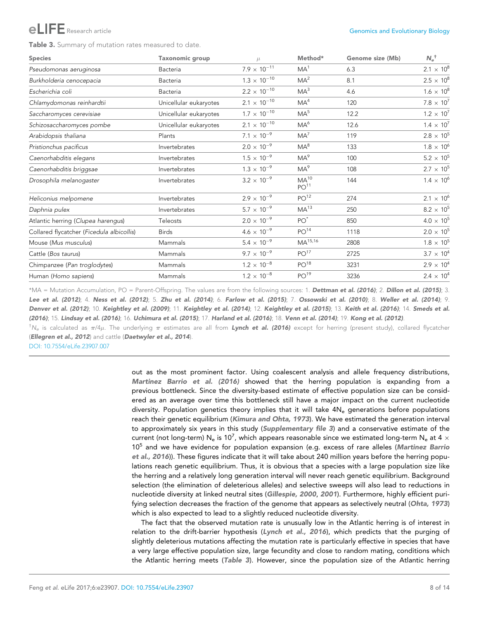# <span id="page-7-0"></span>eLFE Research article Genomics and Evolutionary Biology

| <b>Species</b>                            | <b>Taxonomic group</b> | $\iota$               | Method*                       | Genome size (Mb) | $N_e^{\dagger}$     |
|-------------------------------------------|------------------------|-----------------------|-------------------------------|------------------|---------------------|
| Pseudomonas aeruginosa                    | Bacteria               | $7.9 \times 10^{-11}$ | MA <sup>1</sup>               | 6.3              | $2.1 \times 10^8$   |
| Burkholderia cenocepacia                  | Bacteria               | $1.3 \times 10^{-10}$ | MA <sup>2</sup>               | 8.1              | $2.5 \times 10^{8}$ |
| Escherichia coli                          | Bacteria               | $2.2 \times 10^{-10}$ | MA <sup>3</sup>               | 4.6              | $1.6 \times 10^{8}$ |
| Chlamydomonas reinhardtii                 | Unicellular eukaryotes | $2.1 \times 10^{-10}$ | MA <sup>4</sup>               | 120              | $7.8 \times 10^{7}$ |
| Saccharomyces cerevisiae                  | Unicellular eukaryotes | $1.7 \times 10^{-10}$ | MA <sup>5</sup>               | 12.2             | $1.2 \times 10^{7}$ |
| Schizosaccharomyces pombe                 | Unicellular eukaryotes | $2.1 \times 10^{-10}$ | MA <sup>6</sup>               | 12.6             | $1.4 \times 10^{7}$ |
| Arabidopsis thaliana                      | Plants                 | $7.1 \times 10^{-9}$  | MA <sup>7</sup>               | 119              | $2.8 \times 10^{5}$ |
| Pristionchus pacificus                    | Invertebrates          | $2.0 \times 10^{-9}$  | $MA^8$                        | 133              | $1.8 \times 10^{6}$ |
| Caenorhabditis elegans                    | Invertebrates          | $1.5 \times 10^{-9}$  | MA <sup>9</sup>               | 100              | $5.2\,\times\,10^5$ |
| Caenorhabditis briggsae                   | Invertebrates          | $1.3 \times 10^{-9}$  | MA <sup>9</sup>               | 108              | $2.7 \times 10^{5}$ |
| Drosophila melanogaster                   | Invertebrates          | $3.2 \times 10^{-9}$  | $MA^{10}$<br>PO <sup>11</sup> | 144              | $1.4 \times 10^{6}$ |
| Heliconius melpomene                      | Invertebrates          | $2.9 \times 10^{-9}$  | PO <sup>12</sup>              | 274              | $2.1\,\times\,10^6$ |
| Daphnia pulex                             | Invertebrates          | $5.7 \times 10^{-9}$  | MA <sup>13</sup>              | 250              | $8.2 \times 10^{5}$ |
| Atlantic herring (Clupea harengus)        | Teleosts               | $2.0 \times 10^{-9}$  | $PO*$                         | 850              | $4.0 \times 10^{5}$ |
| Collared flycatcher (Ficedula albicollis) | <b>Birds</b>           | $4.6 \times 10^{-9}$  | PO <sup>14</sup>              | 1118             | $2.0 \times 10^{5}$ |
| Mouse (Mus musculus)                      | Mammals                | $5.4 \times 10^{-9}$  | $MA^{15,16}$                  | 2808             | $1.8 \times 10^{5}$ |
| Cattle (Bos taurus)                       | Mammals                | $9.7 \times 10^{-9}$  | PO <sup>17</sup>              | 2725             | $3.7 \times 10^{4}$ |
| Chimpanzee (Pan troglodytes)              | Mammals                | $1.2 \times 10^{-8}$  | PO <sup>18</sup>              | 3231             | $2.9 \times 10^{4}$ |
| Human (Homo sapiens)                      | Mammals                | $1.2 \times 10^{-8}$  | PO <sup>19</sup>              | 3236             | $2.4 \times 10^{4}$ |

\*MA = Mutation Accumulation, PO = Parent-Offspring. The values are from the following sources: 1. [Dettman et al. \(2016\)](#page-11-0); 2. [Dillon et al. \(2015\)](#page-11-0); 3. [Lee et al. \(2012\)](#page-12-0); 4. [Ness et al. \(2012\)](#page-12-0); 5. [Zhu et al. \(2014\)](#page-13-0); 6. [Farlow et al. \(2015\)](#page-11-0); 7. [Ossowski et al. \(2010\)](#page-12-0); 8. [Weller et al. \(2014\)](#page-13-0); 9. [Denver et al. \(2012\)](#page-11-0); 10. [Keightley et al. \(2009\)](#page-12-0); 11. [Keightley et al. \(2014\)](#page-12-0); 12. [Keightley et al. \(2015\)](#page-12-0); 13. [Keith et al. \(2016\)](#page-12-0); 14. [Smeds et al.](#page-13-0) [\(2016\)](#page-13-0); 15. [Lindsay et al. \(2016\)](#page-12-0); 16. [Uchimura et al. \(2015\)](#page-13-0); 17. [Harland et al. \(2016\)](#page-11-0); 18. [Venn et al. \(2014\)](#page-13-0); 19. [Kong et al. \(2012\)](#page-12-0).

 ${}^{\dagger}N_e$  is calculated as  $\pi/4\mu$ . The underlying  $\pi$  estimates are all from [Lynch et al. \(2016\)](#page-12-0) except for herring (present study), collared flycatcher ([Ellegren et al., 2012](#page-11-0)) and cattle ([Daetwyler et al., 2014](#page-11-0)).

[DOI: 10.7554/eLife.23907.007](http://dx.doi.org/10.7554/eLife.23907.007Table%203.Summary%20of%20mutation%20rates%20measured%20to%20date.%2010.7554/eLife.23907.007SpeciesTaxonomic%20group&x03BC;Method&x002A;Genome%20size%20(Mb)%20Ne&x2020;&x2003;&x00AD;&x2003;Pseudomonas%20aeruginosaBacteria7.9%20&x00D7;%2010&x2212;11MA16.32.1%20&x00D7;%20108Burkholderia%20cenocepaciaBacteria1.3%20&x00D7;%2010&x2212;10MA28.12.5%20&x00D7;%20108Escherichia%20coliBacteria2.2%20&x00D7;%2010&x2212;10MA34.61.6%20&x00D7;%20108Chlamydomonas%20reinhardtiiUnicellular%20eukaryotes2.1%20&x00D7;%2010&x2212;10MA41207.8%20&x00D7;%20107Saccharomyces%20cerevisiaeUnicellular%20eukaryotes1.7%20&x00D7;%2010&x2212;10MA512.21.2%20&x00D7;%20107Schizosaccharomyces%20pombeUnicellular%20eukaryotes2.1%20&x00D7;%2010&x2212;10MA612.61.4%20&x00D7;%20107Arabidopsis%20thalianaPlants7.1%20&x00D7;%2010&x2212;9MA71192.8%20&x00D7;%20105Pristionchus%20pacificusInvertebrates2.0%20&x00D7;%2010&x2212;9MA81331.8%20&x00D7;%20106Caenorhabditis%20elegansInvertebrates1.5%20&x00D7;%2010&x2212;9MA91005.2%20&x00D7;%20105Caenorhabditis%20briggsaeInvertebrates1.3%20&x00D7;%2010&x2212;9MA91082.7%20&x00D7;%20105Drosophila%20melanogasterInvertebrates3.2%20&x00D7;%2010&x2212;9MA10PO111441.4%20&x00D7;%20106Heliconius%20melpomeneInvertebrates2.9%20&x00D7;%2010&x2212;9PO122742.1%20&x00D7;%20106Daphnia%20pulexInvertebrates5.7%20&x00D7;%2010&x2212;9MA132508.2%20&x00D7;%20105Atlantic%20herring%20(Clupea%20harengus)Teleosts2.0%20&x00D7;%2010&x2212;9PO&x002A;8504.0%20&x00D7;%20105Collared%20flycatcher%20(Ficedula%20albicollis)Birds4.6%20&x00D7;%2010&x2212;9PO1411182.0%20&x00D7;%20105Mouse%20(Mus%20musculus)Mammals5.4%20&x00D7;%2010&x2212;9MA15,1628081.8%20&x00D7;%20105Cattle%20(Bos%20taurus)Mammals9.7%20&x00D7;%2010&x2212;9PO1727253.7%20&x00D7;%20104Chimpanzee%20(Pan%20troglodytes)Mammals1.2%20&x00D7;%2010&x2212;8PO1832312.9%20&x00D7;%20104Human%20(Homo%20sapiens)Mammals1.2%20&x00D7;%2010&x2212;8PO1932362.4%20&x00D7;%20104&x002A;MA%20=%20Mutation%20Accumulation,%20PO%20=%20Parent-Offspring.%20The%20values%20are%20from%20the%20following%20sources:%201.%20Dettman%20et�al.%20(2016);%202.%20Dillon%20et�al.%20(2015);%203.%20Lee%20et�al.%20(2012);%204.%20Ness%20et�al.%20(2012);%205.%20Zhu%20et�al.%20(2014);%206.%20Farlow%20et�al.%20(2015);%207.%20Ossowski%20et�al.%20(2010);%208.%20Weller%20et�al.%20(2014);%209.%20Denver%20et�al.%20(2012);%2010.%20Keightley%20et�al.%20(2009);%2011.%20Keightley%20et�al.%20(2014);%2012.%20Keightley%20et�al.%20(2015);%2013.%20Keith%20et�al.%20(2016);%2014.%20Smeds%20et�al.%20(2016);%2015.%20Lindsay%20et�al.%20(2016);%2016.%20Uchimura%20et�al.%20(2015);%2017.%20Harland%20et�al.%20(2016);%2018.%20Venn%20et�al.%20(2014);%2019.%20Kong%20et�al.%20(2012).&x2020;Ne%20is%20calculated%20as%20&x03C0;/4&x03BC;.%20The%20underlying%20&x03C0;%20estimates%20are%20all%20from%20Lynch%20et�al.%20(2016)%20except%20for%20herring%20(present%20study),%20collared%20flycatcher%20(Ellegren%20et�al.,%202012)%20and%20cattle%20(Daetwyler%20et�al.,%202014).)

out as the most prominent factor. Using coalescent analysis and allele frequency distributions, [Martinez Barrio et al. \(2016\)](#page-12-0) showed that the herring population is expanding from a previous bottleneck. Since the diversity-based estimate of effective population size can be considered as an average over time this bottleneck still have a major impact on the current nucleotide diversity. Population genetics theory implies that it will take 4N<sub>e</sub> generations before populations reach their genetic equilibrium ([Kimura and Ohta, 1973](#page-12-0)). We have estimated the generation interval to approximately six years in this study ([Supplementary file 3](#page-10-0)) and a conservative estimate of the current (not long-term)  $\mathsf{N}_{\mathsf{e}}$  is 10<sup>7</sup>, which appears reasonable since we estimated long-term  $\mathsf{N}_{\mathsf{e}}$  at 4  $\times$ 10<sup>5</sup> and we have evidence for population expansion (e.g. excess of rare alleles ([Martinez Barrio](#page-12-0) [et al., 2016](#page-12-0))). These figures indicate that it will take about 240 million years before the herring populations reach genetic equilibrium. Thus, it is obvious that a species with a large population size like the herring and a relatively long generation interval will never reach genetic equilibrium. Background selection (the elimination of deleterious alleles) and selective sweeps will also lead to reductions in nucleotide diversity at linked neutral sites ([Gillespie, 2000](#page-11-0), [2001](#page-11-0)). Furthermore, highly efficient purifying selection decreases the fraction of the genome that appears as selectively neutral ([Ohta, 1973](#page-12-0)) which is also expected to lead to a slightly reduced nucleotide diversity.

The fact that the observed mutation rate is unusually low in the Atlantic herring is of interest in relation to the drift-barrier hypothesis ([Lynch et al., 2016](#page-12-0)), which predicts that the purging of slightly deleterious mutations affecting the mutation rate is particularly effective in species that have a very large effective population size, large fecundity and close to random mating, conditions which the Atlantic herring meets (Table 3). However, since the population size of the Atlantic herring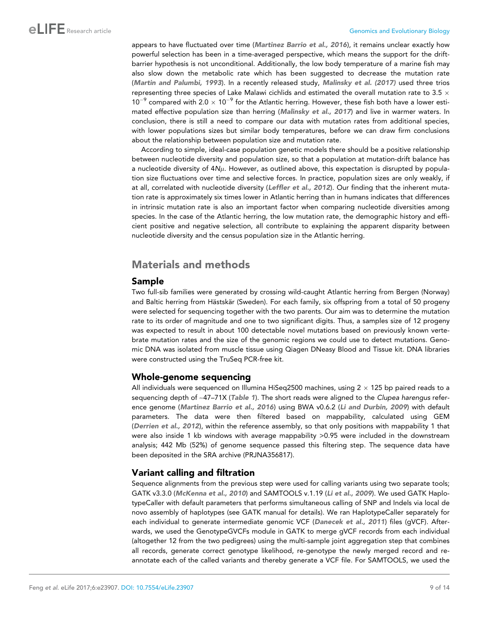appears to have fluctuated over time ([Martinez Barrio et al., 2016](#page-12-0)), it remains unclear exactly how powerful selection has been in a time-averaged perspective, which means the support for the driftbarrier hypothesis is not unconditional. Additionally, the low body temperature of a marine fish may also slow down the metabolic rate which has been suggested to decrease the mutation rate ([Martin and Palumbi, 1993](#page-12-0)). In a recently released study, [Malinsky et al. \(2017\)](#page-12-0) used three trios representing three species of Lake Malawi cichlids and estimated the overall mutation rate to 3.5  $\times$  $10^{-9}$  compared with 2.0  $\times$  10<sup>-9</sup> for the Atlantic herring. However, these fish both have a lower esti-mated effective population size than herring ([Malinsky et al., 2017](#page-12-0)) and live in warmer waters. In conclusion, there is still a need to compare our data with mutation rates from additional species, with lower populations sizes but similar body temperatures, before we can draw firm conclusions about the relationship between population size and mutation rate.

According to simple, ideal-case population genetic models there should be a positive relationship between nucleotide diversity and population size, so that a population at mutation-drift balance has a nucleotide diversity of  $4N<sub>\mu</sub>$ . However, as outlined above, this expectation is disrupted by population size fluctuations over time and selective forces. In practice, population sizes are only weakly, if at all, correlated with nucleotide diversity ([Leffler et al., 2012](#page-12-0)). Our finding that the inherent mutation rate is approximately six times lower in Atlantic herring than in humans indicates that differences in intrinsic mutation rate is also an important factor when comparing nucleotide diversities among species. In the case of the Atlantic herring, the low mutation rate, the demographic history and efficient positive and negative selection, all contribute to explaining the apparent disparity between nucleotide diversity and the census population size in the Atlantic herring.

# Materials and methods

#### Sample

Two full-sib families were generated by crossing wild-caught Atlantic herring from Bergen (Norway) and Baltic herring from Hästskär (Sweden). For each family, six offspring from a total of 50 progeny were selected for sequencing together with the two parents. Our aim was to determine the mutation rate to its order of magnitude and one to two significant digits. Thus, a samples size of 12 progeny was expected to result in about 100 detectable novel mutations based on previously known vertebrate mutation rates and the size of the genomic regions we could use to detect mutations. Genomic DNA was isolated from muscle tissue using Qiagen DNeasy Blood and Tissue kit. DNA libraries were constructed using the TruSeq PCR-free kit.

## Whole-genome sequencing

All individuals were sequenced on Illumina HiSeq2500 machines, using 2  $\times$  125 bp paired reads to a sequencing depth of ~47–71X ([Table 1](#page-2-0)). The short reads were aligned to the Clupea harengus reference genome ([Martinez Barrio et al., 2016](#page-12-0)) using BWA v0.6.2 ([Li and Durbin, 2009](#page-12-0)) with default parameters. The data were then filtered based on mappability, calculated using GEM ([Derrien et al., 2012](#page-11-0)), within the reference assembly, so that only positions with mappability 1 that were also inside 1 kb windows with average mappability >0.95 were included in the downstream analysis; 442 Mb (52%) of genome sequence passed this filtering step. The sequence data have been deposited in the SRA archive (PRJNA356817).

## Variant calling and filtration

Sequence alignments from the previous step were used for calling variants using two separate tools; GATK v3.3.0 ([McKenna et al., 2010](#page-12-0)) and SAMTOOLS v.1.19 ([Li et al., 2009](#page-12-0)). We used GATK HaplotypeCaller with default parameters that performs simultaneous calling of SNP and Indels via local de novo assembly of haplotypes (see GATK manual for details). We ran HaplotypeCaller separately for each individual to generate intermediate genomic VCF ([Danecek et al., 2011](#page-11-0)) files (gVCF). Afterwards, we used the GenotypeGVCFs module in GATK to merge gVCF records from each individual (altogether 12 from the two pedigrees) using the multi-sample joint aggregation step that combines all records, generate correct genotype likelihood, re-genotype the newly merged record and reannotate each of the called variants and thereby generate a VCF file. For SAMTOOLS, we used the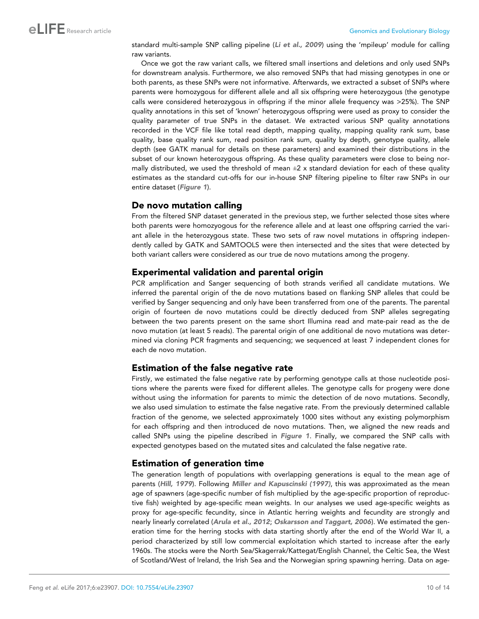standard multi-sample SNP calling pipeline ([Li et al., 2009](#page-12-0)) using the 'mpileup' module for calling raw variants.

Once we got the raw variant calls, we filtered small insertions and deletions and only used SNPs for downstream analysis. Furthermore, we also removed SNPs that had missing genotypes in one or both parents, as these SNPs were not informative. Afterwards, we extracted a subset of SNPs where parents were homozygous for different allele and all six offspring were heterozygous (the genotype calls were considered heterozygous in offspring if the minor allele frequency was >25%). The SNP quality annotations in this set of 'known' heterozygous offspring were used as proxy to consider the quality parameter of true SNPs in the dataset. We extracted various SNP quality annotations recorded in the VCF file like total read depth, mapping quality, mapping quality rank sum, base quality, base quality rank sum, read position rank sum, quality by depth, genotype quality, allele depth (see GATK manual for details on these parameters) and examined their distributions in the subset of our known heterozygous offspring. As these quality parameters were close to being normally distributed, we used the threshold of mean  $\pm 2$  x standard deviation for each of these quality estimates as the standard cut-offs for our in-house SNP filtering pipeline to filter raw SNPs in our entire dataset ([Figure 1](#page-4-0)).

#### De novo mutation calling

From the filtered SNP dataset generated in the previous step, we further selected those sites where both parents were homozyogous for the reference allele and at least one offspring carried the variant allele in the heterozygous state. These two sets of raw novel mutations in offspring independently called by GATK and SAMTOOLS were then intersected and the sites that were detected by both variant callers were considered as our true de novo mutations among the progeny.

### Experimental validation and parental origin

PCR amplification and Sanger sequencing of both strands verified all candidate mutations. We inferred the parental origin of the de novo mutations based on flanking SNP alleles that could be verified by Sanger sequencing and only have been transferred from one of the parents. The parental origin of fourteen de novo mutations could be directly deduced from SNP alleles segregating between the two parents present on the same short Illumina read and mate-pair read as the de novo mutation (at least 5 reads). The parental origin of one additional de novo mutations was determined via cloning PCR fragments and sequencing; we sequenced at least 7 independent clones for each de novo mutation.

## Estimation of the false negative rate

Firstly, we estimated the false negative rate by performing genotype calls at those nucleotide positions where the parents were fixed for different alleles. The genotype calls for progeny were done without using the information for parents to mimic the detection of de novo mutations. Secondly, we also used simulation to estimate the false negative rate. From the previously determined callable fraction of the genome, we selected approximately 1000 sites without any existing polymorphism for each offspring and then introduced de novo mutations. Then, we aligned the new reads and called SNPs using the pipeline described in [Figure 1](#page-4-0). Finally, we compared the SNP calls with expected genotypes based on the mutated sites and calculated the false negative rate.

## Estimation of generation time

The generation length of populations with overlapping generations is equal to the mean age of parents ([Hill, 1979](#page-11-0)). Following [Miller and Kapuscinski \(1997\)](#page-12-0), this was approximated as the mean age of spawners (age-specific number of fish multiplied by the age-specific proportion of reproductive fish) weighted by age-specific mean weights. In our analyses we used age-specific weights as proxy for age-specific fecundity, since in Atlantic herring weights and fecundity are strongly and nearly linearly correlated ([Arula et al., 2012](#page-11-0); [Oskarsson and Taggart, 2006](#page-12-0)). We estimated the generation time for the herring stocks with data starting shortly after the end of the World War II, a period characterized by still low commercial exploitation which started to increase after the early 1960s. The stocks were the North Sea/Skagerrak/Kattegat/English Channel, the Celtic Sea, the West of Scotland/West of Ireland, the Irish Sea and the Norwegian spring spawning herring. Data on age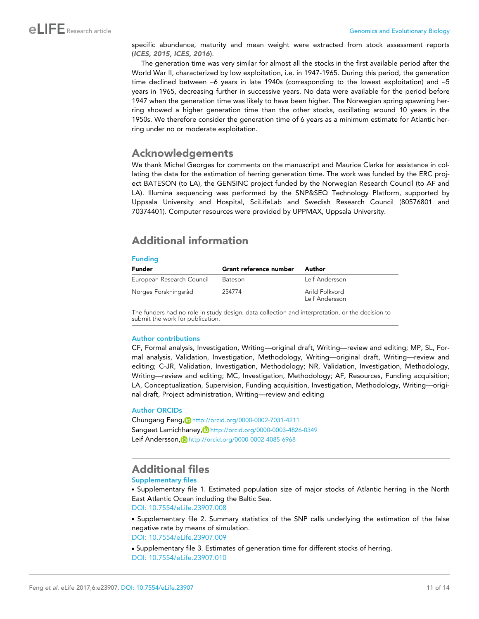<span id="page-10-0"></span>specific abundance, maturity and mean weight were extracted from stock assessment reports ([ICES, 2015](#page-11-0), [ICES, 2016](#page-11-0)).

The generation time was very similar for almost all the stocks in the first available period after the World War II, characterized by low exploitation, i.e. in 1947-1965. During this period, the generation time declined between  $\sim$ 6 years in late 1940s (corresponding to the lowest exploitation) and  $\sim$ 5 years in 1965, decreasing further in successive years. No data were available for the period before 1947 when the generation time was likely to have been higher. The Norwegian spring spawning herring showed a higher generation time than the other stocks, oscillating around 10 years in the 1950s. We therefore consider the generation time of 6 years as a minimum estimate for Atlantic herring under no or moderate exploitation.

# Acknowledgements

We thank Michel Georges for comments on the manuscript and Maurice Clarke for assistance in collating the data for the estimation of herring generation time. The work was funded by the ERC project BATESON (to LA), the GENSINC project funded by the Norwegian Research Council (to AF and LA). Illumina sequencing was performed by the SNP&SEQ Technology Platform, supported by Uppsala University and Hospital, SciLifeLab and Swedish Research Council (80576801 and 70374401). Computer resources were provided by UPPMAX, Uppsala University.

# Additional information

#### Funding

| Funder                    | Grant reference number | Author                           |
|---------------------------|------------------------|----------------------------------|
| European Research Council | <b>Bateson</b>         | Leif Andersson                   |
| Norges Forskningsråd      | 254774                 | Arild Folkvord<br>Leif Andersson |

The funders had no role in study design, data collection and interpretation, or the decision to submit the work for publication.

#### Author contributions

CF, Formal analysis, Investigation, Writing—original draft, Writing—review and editing; MP, SL, Formal analysis, Validation, Investigation, Methodology, Writing—original draft, Writing—review and editing; C-JR, Validation, Investigation, Methodology; NR, Validation, Investigation, Methodology, Writing—review and editing; MC, Investigation, Methodology; AF, Resources, Funding acquisition; LA, Conceptualization, Supervision, Funding acquisition, Investigation, Methodology, Writing—original draft, Project administration, Writing—review and editing

#### Author ORCIDs

Chungang Feng, D<http://orcid.org/0000-0002-7031-4211> Sangeet Lamichhaney, iD <http://orcid.org/0000-0003-4826-0349> Leif Andersson, D<http://orcid.org/0000-0002-4085-6968>

# Additional files

#### Supplementary files

. Supplementary file 1. Estimated population size of major stocks of Atlantic herring in the North East Atlantic Ocean including the Baltic Sea. [DOI: 10.7554/eLife.23907.008](http://dx.doi.org/10.7554/eLife.23907.008)

. Supplementary file 2. Summary statistics of the SNP calls underlying the estimation of the false negative rate by means of simulation. [DOI: 10.7554/eLife.23907.009](http://dx.doi.org/10.7554/eLife.23907.009)

. Supplementary file 3. Estimates of generation time for different stocks of herring. [DOI: 10.7554/eLife.23907.010](http://dx.doi.org/10.7554/eLife.23907.010)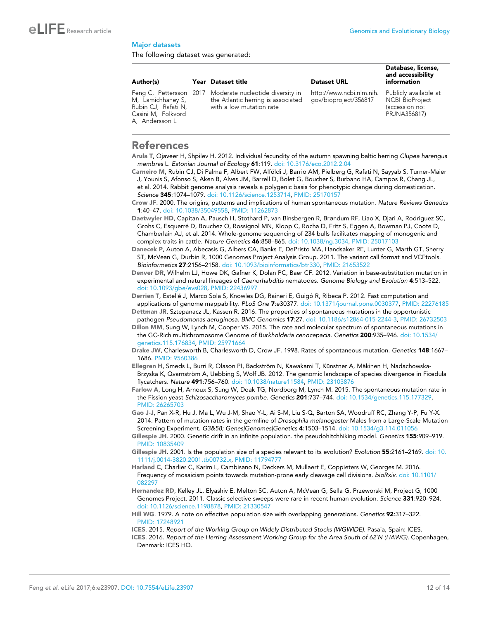#### <span id="page-11-0"></span>Major datasets

The following dataset was generated:

| Author(s)                                                                        | Year Dataset title                                                                                                         | <b>Dataset URL</b>                                | Database, license,<br>and accessibility<br>information                            |
|----------------------------------------------------------------------------------|----------------------------------------------------------------------------------------------------------------------------|---------------------------------------------------|-----------------------------------------------------------------------------------|
| M, Lamichhaney S,<br>Rubin CJ, Rafati N,<br>Casini M, Folkvord<br>A. Andersson L | Feng C, Pettersson 2017 Moderate nucleotide diversity in<br>the Atlantic herring is associated<br>with a low mutation rate | http://www.ncbi.nlm.nih.<br>gov/bioproject/356817 | Publicly available at<br><b>NCBI BioProject</b><br>(accession no:<br>PRJNA356817) |

#### References

- Arula T, Ojaveer H, Shpilev H. 2012. Individual fecundity of the autumn spawning baltic herring Clupea harengus membras L. Estonian Journal of Ecology 61:119. [doi: 10.3176/eco.2012.2.04](http://dx.doi.org/10.3176/eco.2012.2.04)
- Carneiro M, Rubin CJ, Di Palma F, Albert FW, Alföldi J, Barrio AM, Pielberg G, Rafati N, Sayyab S, Turner-Maier J, Younis S, Afonso S, Aken B, Alves JM, Barrell D, Bolet G, Boucher S, Burbano HA, Campos R, Chang JL, et al. 2014. Rabbit genome analysis reveals a polygenic basis for phenotypic change during domestication. Science 345:1074–1079. [doi: 10.1126/science.1253714,](http://dx.doi.org/10.1126/science.1253714) PMID: [25170157](http://www.ncbi.nlm.nih.gov/pubmed/25170157)
- Crow JF. 2000. The origins, patterns and implications of human spontaneous mutation. Nature Reviews Genetics 1:40–47. [doi: 10.1038/35049558](http://dx.doi.org/10.1038/35049558), PMID: [11262873](http://www.ncbi.nlm.nih.gov/pubmed/11262873)
- Daetwyler HD, Capitan A, Pausch H, Stothard P, van Binsbergen R, Brøndum RF, Liao X, Djari A, Rodriguez SC, Grohs C, Esquerré D, Bouchez O, Rossignol MN, Klopp C, Rocha D, Fritz S, Eggen A, Bowman PJ, Coote D, Chamberlain AJ, et al. 2014. Whole-genome sequencing of 234 bulls facilitates mapping of monogenic and complex traits in cattle. Nature Genetics 46:858–865. [doi: 10.1038/ng.3034](http://dx.doi.org/10.1038/ng.3034), PMID: [25017103](http://www.ncbi.nlm.nih.gov/pubmed/25017103)
- Danecek P, Auton A, Abecasis G, Albers CA, Banks E, DePristo MA, Handsaker RE, Lunter G, Marth GT, Sherry ST, McVean G, Durbin R, 1000 Genomes Project Analysis Group. 2011. The variant call format and VCFtools. Bioinformatics 27:2156–2158. [doi: 10.1093/bioinformatics/btr330,](http://dx.doi.org/10.1093/bioinformatics/btr330) PMID: [21653522](http://www.ncbi.nlm.nih.gov/pubmed/21653522)
- Denver DR, Wilhelm LJ, Howe DK, Gafner K, Dolan PC, Baer CF. 2012. Variation in base-substitution mutation in experimental and natural lineages of Caenorhabditis nematodes. Genome Biology and Evolution 4:513-522. [doi: 10.1093/gbe/evs028,](http://dx.doi.org/10.1093/gbe/evs028) PMID: [22436997](http://www.ncbi.nlm.nih.gov/pubmed/22436997)
- Derrien T, Estellé J, Marco Sola S, Knowles DG, Raineri E, Guigó R, Ribeca P. 2012. Fast computation and applications of genome mappability. PLoS One 7:e30377. [doi: 10.1371/journal.pone.0030377,](http://dx.doi.org/10.1371/journal.pone.0030377) PMID: [22276185](http://www.ncbi.nlm.nih.gov/pubmed/22276185)
- Dettman JR, Sztepanacz JL, Kassen R. 2016. The properties of spontaneous mutations in the opportunistic pathogen Pseudomonas aeruginosa. BMC Genomics 17:27. [doi: 10.1186/s12864-015-2244-3](http://dx.doi.org/10.1186/s12864-015-2244-3), PMID: [26732503](http://www.ncbi.nlm.nih.gov/pubmed/26732503)
- Dillon MM, Sung W, Lynch M, Cooper VS. 2015. The rate and molecular spectrum of spontaneous mutations in the GC-Rich multichromosome Genome of Burkholderia cenocepacia. Genetics 200:935-946. [doi: 10.1534/](http://dx.doi.org/10.1534/genetics.115.176834) [genetics.115.176834](http://dx.doi.org/10.1534/genetics.115.176834), PMID: [25971664](http://www.ncbi.nlm.nih.gov/pubmed/25971664)
- Drake JW, Charlesworth B, Charlesworth D, Crow JF. 1998. Rates of spontaneous mutation. Genetics 148:1667-1686. PMID: [9560386](http://www.ncbi.nlm.nih.gov/pubmed/9560386)
- Ellegren H, Smeds L, Burri R, Olason PI, Backström N, Kawakami T, Künstner A, Mäkinen H, Nadachowska-Brzyska K, Qvarnström A, Uebbing S, Wolf JB. 2012. The genomic landscape of species divergence in Ficedula flycatchers. Nature 491:756–760. [doi: 10.1038/nature11584,](http://dx.doi.org/10.1038/nature11584) PMID: [23103876](http://www.ncbi.nlm.nih.gov/pubmed/23103876)
- Farlow A, Long H, Arnoux S, Sung W, Doak TG, Nordborg M, Lynch M. 2015. The spontaneous mutation rate in the Fission yeast Schizosaccharomyces pombe. Genetics 201:737–744. [doi: 10.1534/genetics.115.177329,](http://dx.doi.org/10.1534/genetics.115.177329) PMID: [26265703](http://www.ncbi.nlm.nih.gov/pubmed/26265703)
- Gao J-J, Pan X-R, Hu J, Ma L, Wu J-M, Shao Y-L, Ai S-M, Liu S-Q, Barton SA, Woodruff RC, Zhang Y-P, Fu Y-X. 2014. Pattern of mutation rates in the germline of Drosophila melanogaster Males from a Large-Scale Mutation Screening Experiment. G3&58; Genes|Genomes|Genetics 4:1503–1514. [doi: 10.1534/g3.114.011056](http://dx.doi.org/10.1534/g3.114.011056)
- Gillespie JH. 2000. Genetic drift in an infinite population. the pseudohitchhiking model. Genetics 155:909-919. PMID: [10835409](http://www.ncbi.nlm.nih.gov/pubmed/10835409)
- Gillespie JH. 2001. Is the population size of a species relevant to its evolution? Evolution 55:2161-2169. [doi: 10.](http://dx.doi.org/10.1111/j.0014-3820.2001.tb00732.x) [1111/j.0014-3820.2001.tb00732.x,](http://dx.doi.org/10.1111/j.0014-3820.2001.tb00732.x) PMID: [11794777](http://www.ncbi.nlm.nih.gov/pubmed/11794777)
- Harland C, Charlier C, Karim L, Cambisano N, Deckers M, Mullaert E, Coppieters W, Georges M. 2016. Frequency of mosaicism points towards mutation-prone early cleavage cell divisions. bioRxiv. [doi: 10.1101/](http://dx.doi.org/10.1101/082297) [082297](http://dx.doi.org/10.1101/082297)
- Hernandez RD, Kelley JL, Elyashiv E, Melton SC, Auton A, McVean G, Sella G, Przeworski M, Project G, 1000 Genomes Project. 2011. Classic selective sweeps were rare in recent human evolution. Science 331:920-924. [doi: 10.1126/science.1198878](http://dx.doi.org/10.1126/science.1198878), PMID: [21330547](http://www.ncbi.nlm.nih.gov/pubmed/21330547)
- Hill WG. 1979. A note on effective population size with overlapping generations. Genetics 92:317–322. PMID: [17248921](http://www.ncbi.nlm.nih.gov/pubmed/17248921)
- ICES. 2015. Report of the Working Group on Widely Distributed Stocks (WGWIDE). Pasaia, Spain: ICES.
- ICES. 2016. Report of the Herring Assessment Working Group for the Area South of 62˚N (HAWG). Copenhagen, Denmark: ICES HQ.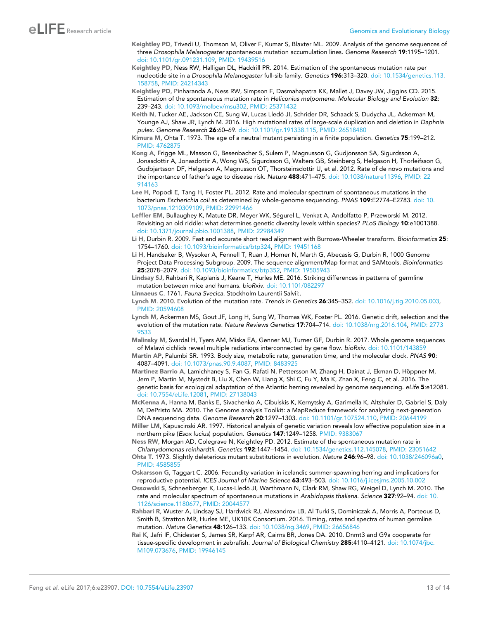- <span id="page-12-0"></span>Keightley PD, Trivedi U, Thomson M, Oliver F, Kumar S, Blaxter ML. 2009. Analysis of the genome sequences of three Drosophila Melanogaster spontaneous mutation accumulation lines. Genome Research 19:1195-1201. [doi: 10.1101/gr.091231.109,](http://dx.doi.org/10.1101/gr.091231.109) PMID: [19439516](http://www.ncbi.nlm.nih.gov/pubmed/19439516)
- Keightley PD, Ness RW, Halligan DL, Haddrill PR. 2014. Estimation of the spontaneous mutation rate per nucleotide site in a Drosophila Melanogaster full-sib family. Genetics 196:313–320. [doi: 10.1534/genetics.113.](http://dx.doi.org/10.1534/genetics.113.158758) [158758,](http://dx.doi.org/10.1534/genetics.113.158758) PMID: [24214343](http://www.ncbi.nlm.nih.gov/pubmed/24214343)
- Keightley PD, Pinharanda A, Ness RW, Simpson F, Dasmahapatra KK, Mallet J, Davey JW, Jiggins CD. 2015. Estimation of the spontaneous mutation rate in Heliconius melpomene. Molecular Biology and Evolution 32: 239–243. [doi: 10.1093/molbev/msu302](http://dx.doi.org/10.1093/molbev/msu302), PMID: [25371432](http://www.ncbi.nlm.nih.gov/pubmed/25371432)
- Keith N, Tucker AE, Jackson CE, Sung W, Lucas Lledó JI, Schrider DR, Schaack S, Dudycha JL, Ackerman M, Younge AJ, Shaw JR, Lynch M. 2016. High mutational rates of large-scale duplication and deletion in Daphnia pulex. Genome Research 26:60–69. [doi: 10.1101/gr.191338.115](http://dx.doi.org/10.1101/gr.191338.115), PMID: [26518480](http://www.ncbi.nlm.nih.gov/pubmed/26518480)
- Kimura M, Ohta T. 1973. The age of a neutral mutant persisting in a finite population. Genetics 75:199-212. PMID: [4762875](http://www.ncbi.nlm.nih.gov/pubmed/4762875)
- Kong A, Frigge ML, Masson G, Besenbacher S, Sulem P, Magnusson G, Gudjonsson SA, Sigurdsson A, Jonasdottir A, Jonasdottir A, Wong WS, Sigurdsson G, Walters GB, Steinberg S, Helgason H, Thorleifsson G, Gudbjartsson DF, Helgason A, Magnusson OT, Thorsteinsdottir U, et al. 2012. Rate of de novo mutations and the importance of father's age to disease risk. Nature 488:471-475. [doi: 10.1038/nature11396,](http://dx.doi.org/10.1038/nature11396) PMID: [22](http://www.ncbi.nlm.nih.gov/pubmed/22914163) [914163](http://www.ncbi.nlm.nih.gov/pubmed/22914163)
- Lee H, Popodi E, Tang H, Foster PL. 2012. Rate and molecular spectrum of spontaneous mutations in the bacterium Escherichia coli as determined by whole-genome sequencing. PNAS 109:E2774–E2783. [doi: 10.](http://dx.doi.org/10.1073/pnas.1210309109) [1073/pnas.1210309109,](http://dx.doi.org/10.1073/pnas.1210309109) PMID: [22991466](http://www.ncbi.nlm.nih.gov/pubmed/22991466)
- Leffler EM, Bullaughey K, Matute DR, Meyer WK, Ségurel L, Venkat A, Andolfatto P, Przeworski M. 2012. Revisiting an old riddle: what determines genetic diversity levels within species? PLoS Biology 10:e1001388. [doi: 10.1371/journal.pbio.1001388,](http://dx.doi.org/10.1371/journal.pbio.1001388) PMID: [22984349](http://www.ncbi.nlm.nih.gov/pubmed/22984349)
- Li H, Durbin R. 2009. Fast and accurate short read alignment with Burrows-Wheeler transform. Bioinformatics 25: 1754–1760. [doi: 10.1093/bioinformatics/btp324](http://dx.doi.org/10.1093/bioinformatics/btp324), PMID: [19451168](http://www.ncbi.nlm.nih.gov/pubmed/19451168)
- Li H, Handsaker B, Wysoker A, Fennell T, Ruan J, Homer N, Marth G, Abecasis G, Durbin R, 1000 Genome Project Data Processing Subgroup. 2009. The sequence alignment/Map format and SAMtools. Bioinformatics 25:2078–2079. [doi: 10.1093/bioinformatics/btp352,](http://dx.doi.org/10.1093/bioinformatics/btp352) PMID: [19505943](http://www.ncbi.nlm.nih.gov/pubmed/19505943)
- Lindsay SJ, Rahbari R, Kaplanis J, Keane T, Hurles ME. 2016. Striking differences in patterns of germline mutation between mice and humans. bioRxiv. [doi: 10.1101/082297](http://dx.doi.org/10.1101/082297)
- Linnaeus C. 1761. Fauna Svecica. Stockholm Laurentii Salvii:.
- Lynch M. 2010. Evolution of the mutation rate. Trends in Genetics 26:345–352. [doi: 10.1016/j.tig.2010.05.003,](http://dx.doi.org/10.1016/j.tig.2010.05.003) PMID: [20594608](http://www.ncbi.nlm.nih.gov/pubmed/20594608)
- Lynch M, Ackerman MS, Gout JF, Long H, Sung W, Thomas WK, Foster PL. 2016. Genetic drift, selection and the evolution of the mutation rate. Nature Reviews Genetics 17:704–714. [doi: 10.1038/nrg.2016.104](http://dx.doi.org/10.1038/nrg.2016.104), PMID: [2773](http://www.ncbi.nlm.nih.gov/pubmed/27739533) [9533](http://www.ncbi.nlm.nih.gov/pubmed/27739533)
- Malinsky M, Svardal H, Tyers AM, Miska EA, Genner MJ, Turner GF, Durbin R. 2017. Whole genome sequences of Malawi cichlids reveal multiple radiations interconnected by gene flow. bioRxiv. [doi: 10.1101/143859](http://dx.doi.org/10.1101/143859)
- Martin AP, Palumbi SR. 1993. Body size, metabolic rate, generation time, and the molecular clock. PNAS 90: 4087–4091. [doi: 10.1073/pnas.90.9.4087,](http://dx.doi.org/10.1073/pnas.90.9.4087) PMID: [8483925](http://www.ncbi.nlm.nih.gov/pubmed/8483925)
- Martinez Barrio A, Lamichhaney S, Fan G, Rafati N, Pettersson M, Zhang H, Dainat J, Ekman D, Höppner M, Jern P, Martin M, Nystedt B, Liu X, Chen W, Liang X, Shi C, Fu Y, Ma K, Zhan X, Feng C, et al. 2016. The genetic basis for ecological adaptation of the Atlantic herring revealed by genome sequencing. eLife 5:e12081. [doi: 10.7554/eLife.12081](http://dx.doi.org/10.7554/eLife.12081), PMID: [27138043](http://www.ncbi.nlm.nih.gov/pubmed/27138043)
- McKenna A, Hanna M, Banks E, Sivachenko A, Cibulskis K, Kernytsky A, Garimella K, Altshuler D, Gabriel S, Daly M, DePristo MA. 2010. The Genome analysis Toolkit: a MapReduce framework for analyzing next-generation DNA sequencing data. Genome Research 20:1297–1303. [doi: 10.1101/gr.107524.110](http://dx.doi.org/10.1101/gr.107524.110), PMID: [20644199](http://www.ncbi.nlm.nih.gov/pubmed/20644199)
- Miller LM, Kapuscinski AR. 1997. Historical analysis of genetic variation reveals low effective population size in a northern pike (Esox lucius) population. Genetics 147:1249-1258. PMID: [9383067](http://www.ncbi.nlm.nih.gov/pubmed/9383067)
- Ness RW, Morgan AD, Colegrave N, Keightley PD. 2012. Estimate of the spontaneous mutation rate in Chlamydomonas reinhardtii. Genetics 192:1447–1454. [doi: 10.1534/genetics.112.145078,](http://dx.doi.org/10.1534/genetics.112.145078) PMID: [23051642](http://www.ncbi.nlm.nih.gov/pubmed/23051642) Ohta T. 1973. Slightly deleterious mutant substitutions in evolution. Nature 246:96-98. [doi: 10.1038/246096a0,](http://dx.doi.org/10.1038/246096a0) PMID: [4585855](http://www.ncbi.nlm.nih.gov/pubmed/4585855)
- Oskarsson G, Taggart C. 2006. Fecundity variation in icelandic summer-spawning herring and implications for reproductive potential. ICES Journal of Marine Science 63:493-503. [doi: 10.1016/j.icesjms.2005.10.002](http://dx.doi.org/10.1016/j.icesjms.2005.10.002)
- Ossowski S, Schneeberger K, Lucas-Lledo´ JI, Warthmann N, Clark RM, Shaw RG, Weigel D, Lynch M. 2010. The rate and molecular spectrum of spontaneous mutations in Arabidopsis thaliana. Science 327:92-94. [doi: 10.](http://dx.doi.org/10.1126/science.1180677) [1126/science.1180677](http://dx.doi.org/10.1126/science.1180677), PMID: [20044577](http://www.ncbi.nlm.nih.gov/pubmed/20044577)
- Rahbari R, Wuster A, Lindsay SJ, Hardwick RJ, Alexandrov LB, Al Turki S, Dominiczak A, Morris A, Porteous D, Smith B, Stratton MR, Hurles ME, UK10K Consortium. 2016. Timing, rates and spectra of human germline mutation. Nature Genetics 48:126–133. [doi: 10.1038/ng.3469,](http://dx.doi.org/10.1038/ng.3469) PMID: [26656846](http://www.ncbi.nlm.nih.gov/pubmed/26656846)
- Rai K, Jafri IF, Chidester S, James SR, Karpf AR, Cairns BR, Jones DA. 2010. Dnmt3 and G9a cooperate for tissue-specific development in zebrafish. Journal of Biological Chemistry 285:4110-4121. [doi: 10.1074/jbc.](http://dx.doi.org/10.1074/jbc.M109.073676) [M109.073676](http://dx.doi.org/10.1074/jbc.M109.073676), PMID: [19946145](http://www.ncbi.nlm.nih.gov/pubmed/19946145)